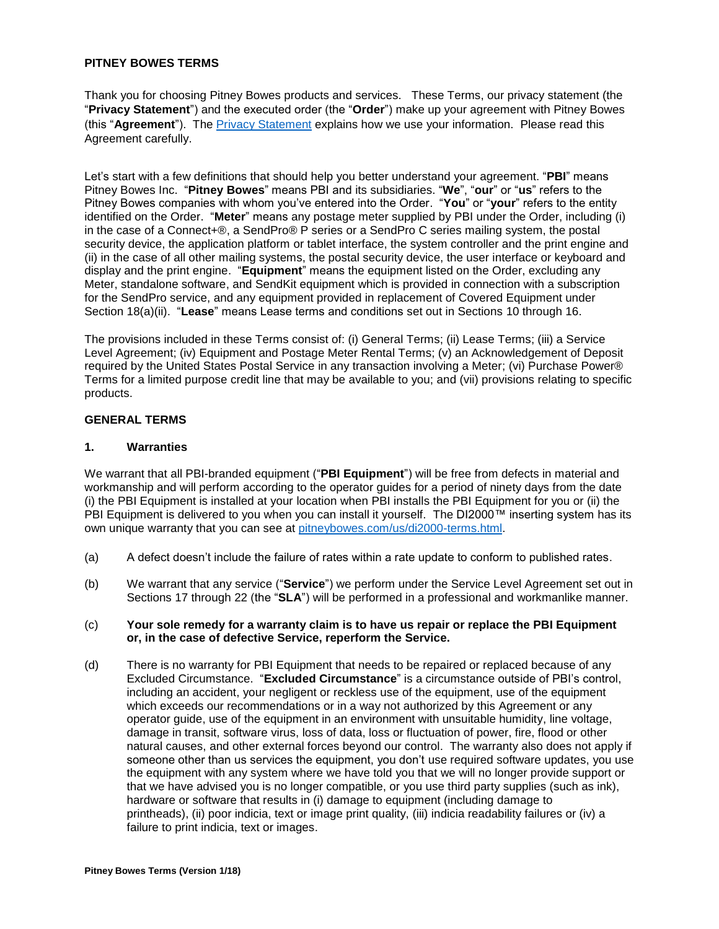#### **PITNEY BOWES TERMS**

Thank you for choosing Pitney Bowes products and services. These Terms, our privacy statement (the "**Privacy Statement**") and the executed order (the "**Order**") make up your agreement with Pitney Bowes (this "**Agreement**"). The [Privacy Statement](http://www.pitneybowes.com/us/legal/privacy-statement.html) explains how we use your information. Please read this Agreement carefully.

Let's start with a few definitions that should help you better understand your agreement. "**PBI**" means Pitney Bowes Inc. "**Pitney Bowes**" means PBI and its subsidiaries. "**We**", "**our**" or "**us**" refers to the Pitney Bowes companies with whom you've entered into the Order. "**You**" or "**your**" refers to the entity identified on the Order. "**Meter**" means any postage meter supplied by PBI under the Order, including (i) in the case of a Connect+®, a SendPro® P series or a SendPro C series mailing system, the postal security device, the application platform or tablet interface, the system controller and the print engine and (ii) in the case of all other mailing systems, the postal security device, the user interface or keyboard and display and the print engine. "**Equipment**" means the equipment listed on the Order, excluding any Meter, standalone software, and SendKit equipment which is provided in connection with a subscription for the SendPro service, and any equipment provided in replacement of Covered Equipment under Section 18(a)(ii). "**Lease**" means Lease terms and conditions set out in Sections 10 through 16.

The provisions included in these Terms consist of: (i) General Terms; (ii) Lease Terms; (iii) a Service Level Agreement; (iv) Equipment and Postage Meter Rental Terms; (v) an Acknowledgement of Deposit required by the United States Postal Service in any transaction involving a Meter; (vi) Purchase Power® Terms for a limited purpose credit line that may be available to you; and (vii) provisions relating to specific products.

### **GENERAL TERMS**

#### **1. Warranties**

We warrant that all PBI-branded equipment ("**PBI Equipment**") will be free from defects in material and workmanship and will perform according to the operator guides for a period of ninety days from the date (i) the PBI Equipment is installed at your location when PBI installs the PBI Equipment for you or (ii) the PBI Equipment is delivered to you when you can install it yourself. The DI2000™ inserting system has its own unique warranty that you can see at [pitneybowes.com/us/di2000-terms.html.](http://www.pitneybowes.com/us/di2000-terms.html)

- (a) A defect doesn't include the failure of rates within a rate update to conform to published rates.
- (b) We warrant that any service ("**Service**") we perform under the Service Level Agreement set out in Sections 17 through 22 (the "**SLA**") will be performed in a professional and workmanlike manner.

#### (c) **Your sole remedy for a warranty claim is to have us repair or replace the PBI Equipment or, in the case of defective Service, reperform the Service.**

(d) There is no warranty for PBI Equipment that needs to be repaired or replaced because of any Excluded Circumstance. "**Excluded Circumstance**" is a circumstance outside of PBI's control, including an accident, your negligent or reckless use of the equipment, use of the equipment which exceeds our recommendations or in a way not authorized by this Agreement or any operator guide, use of the equipment in an environment with unsuitable humidity, line voltage, damage in transit, software virus, loss of data, loss or fluctuation of power, fire, flood or other natural causes, and other external forces beyond our control. The warranty also does not apply if someone other than us services the equipment, you don't use required software updates, you use the equipment with any system where we have told you that we will no longer provide support or that we have advised you is no longer compatible, or you use third party supplies (such as ink), hardware or software that results in (i) damage to equipment (including damage to printheads), (ii) poor indicia, text or image print quality, (iii) indicia readability failures or (iv) a failure to print indicia, text or images.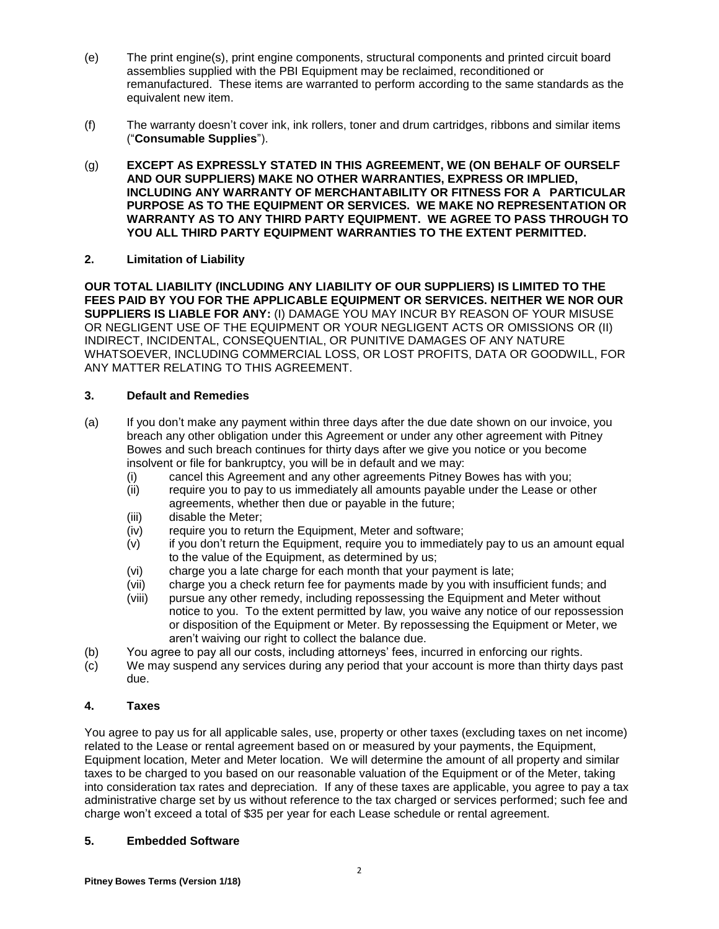- (e) The print engine(s), print engine components, structural components and printed circuit board assemblies supplied with the PBI Equipment may be reclaimed, reconditioned or remanufactured. These items are warranted to perform according to the same standards as the equivalent new item.
- (f) The warranty doesn't cover ink, ink rollers, toner and drum cartridges, ribbons and similar items ("**Consumable Supplies**").
- (g) **EXCEPT AS EXPRESSLY STATED IN THIS AGREEMENT, WE (ON BEHALF OF OURSELF AND OUR SUPPLIERS) MAKE NO OTHER WARRANTIES, EXPRESS OR IMPLIED, INCLUDING ANY WARRANTY OF MERCHANTABILITY OR FITNESS FOR A PARTICULAR PURPOSE AS TO THE EQUIPMENT OR SERVICES. WE MAKE NO REPRESENTATION OR WARRANTY AS TO ANY THIRD PARTY EQUIPMENT. WE AGREE TO PASS THROUGH TO YOU ALL THIRD PARTY EQUIPMENT WARRANTIES TO THE EXTENT PERMITTED.**

### **2. Limitation of Liability**

**OUR TOTAL LIABILITY (INCLUDING ANY LIABILITY OF OUR SUPPLIERS) IS LIMITED TO THE FEES PAID BY YOU FOR THE APPLICABLE EQUIPMENT OR SERVICES. NEITHER WE NOR OUR SUPPLIERS IS LIABLE FOR ANY:** (I) DAMAGE YOU MAY INCUR BY REASON OF YOUR MISUSE OR NEGLIGENT USE OF THE EQUIPMENT OR YOUR NEGLIGENT ACTS OR OMISSIONS OR (II) INDIRECT, INCIDENTAL, CONSEQUENTIAL, OR PUNITIVE DAMAGES OF ANY NATURE WHATSOEVER, INCLUDING COMMERCIAL LOSS, OR LOST PROFITS, DATA OR GOODWILL, FOR ANY MATTER RELATING TO THIS AGREEMENT.

### **3. Default and Remedies**

- (a) If you don't make any payment within three days after the due date shown on our invoice, you breach any other obligation under this Agreement or under any other agreement with Pitney Bowes and such breach continues for thirty days after we give you notice or you become insolvent or file for bankruptcy, you will be in default and we may:
	- (i) cancel this Agreement and any other agreements Pitney Bowes has with you;
	- (ii) require you to pay to us immediately all amounts payable under the Lease or other agreements, whether then due or payable in the future;
	- (iii) disable the Meter;
	- (iv) require you to return the Equipment, Meter and software;
	- (v) if you don't return the Equipment, require you to immediately pay to us an amount equal to the value of the Equipment, as determined by us;
	- (vi) charge you a late charge for each month that your payment is late;
	- (vii) charge you a check return fee for payments made by you with insufficient funds; and
	- (viii) pursue any other remedy, including repossessing the Equipment and Meter without notice to you. To the extent permitted by law, you waive any notice of our repossession or disposition of the Equipment or Meter. By repossessing the Equipment or Meter, we aren't waiving our right to collect the balance due.
- (b) You agree to pay all our costs, including attorneys' fees, incurred in enforcing our rights.
- (c) We may suspend any services during any period that your account is more than thirty days past due.

# **4. Taxes**

You agree to pay us for all applicable sales, use, property or other taxes (excluding taxes on net income) related to the Lease or rental agreement based on or measured by your payments, the Equipment, Equipment location, Meter and Meter location. We will determine the amount of all property and similar taxes to be charged to you based on our reasonable valuation of the Equipment or of the Meter, taking into consideration tax rates and depreciation. If any of these taxes are applicable, you agree to pay a tax administrative charge set by us without reference to the tax charged or services performed; such fee and charge won't exceed a total of \$35 per year for each Lease schedule or rental agreement.

### **5. Embedded Software**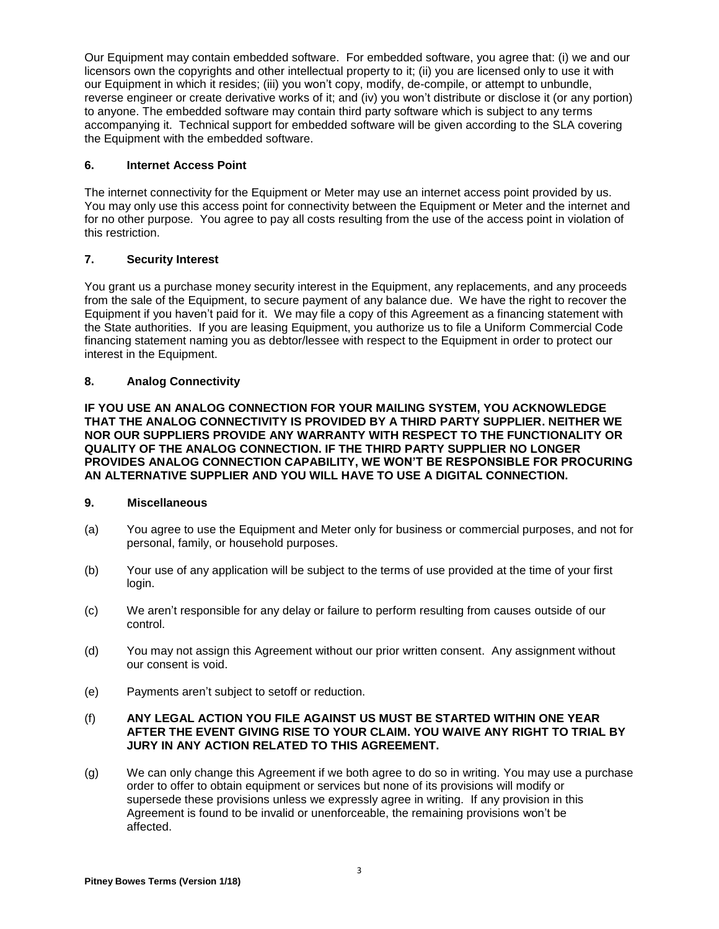Our Equipment may contain embedded software. For embedded software, you agree that: (i) we and our licensors own the copyrights and other intellectual property to it; (ii) you are licensed only to use it with our Equipment in which it resides; (iii) you won't copy, modify, de-compile, or attempt to unbundle, reverse engineer or create derivative works of it; and (iv) you won't distribute or disclose it (or any portion) to anyone. The embedded software may contain third party software which is subject to any terms accompanying it. Technical support for embedded software will be given according to the SLA covering the Equipment with the embedded software.

### **6. Internet Access Point**

The internet connectivity for the Equipment or Meter may use an internet access point provided by us. You may only use this access point for connectivity between the Equipment or Meter and the internet and for no other purpose. You agree to pay all costs resulting from the use of the access point in violation of this restriction.

# **7. Security Interest**

You grant us a purchase money security interest in the Equipment, any replacements, and any proceeds from the sale of the Equipment, to secure payment of any balance due. We have the right to recover the Equipment if you haven't paid for it. We may file a copy of this Agreement as a financing statement with the State authorities. If you are leasing Equipment, you authorize us to file a Uniform Commercial Code financing statement naming you as debtor/lessee with respect to the Equipment in order to protect our interest in the Equipment.

### **8. Analog Connectivity**

**IF YOU USE AN ANALOG CONNECTION FOR YOUR MAILING SYSTEM, YOU ACKNOWLEDGE THAT THE ANALOG CONNECTIVITY IS PROVIDED BY A THIRD PARTY SUPPLIER. NEITHER WE NOR OUR SUPPLIERS PROVIDE ANY WARRANTY WITH RESPECT TO THE FUNCTIONALITY OR QUALITY OF THE ANALOG CONNECTION. IF THE THIRD PARTY SUPPLIER NO LONGER PROVIDES ANALOG CONNECTION CAPABILITY, WE WON'T BE RESPONSIBLE FOR PROCURING AN ALTERNATIVE SUPPLIER AND YOU WILL HAVE TO USE A DIGITAL CONNECTION.**

### **9. Miscellaneous**

- (a) You agree to use the Equipment and Meter only for business or commercial purposes, and not for personal, family, or household purposes.
- (b) Your use of any application will be subject to the terms of use provided at the time of your first login.
- (c) We aren't responsible for any delay or failure to perform resulting from causes outside of our control.
- (d) You may not assign this Agreement without our prior written consent. Any assignment without our consent is void.
- (e) Payments aren't subject to setoff or reduction.

### (f) **ANY LEGAL ACTION YOU FILE AGAINST US MUST BE STARTED WITHIN ONE YEAR AFTER THE EVENT GIVING RISE TO YOUR CLAIM. YOU WAIVE ANY RIGHT TO TRIAL BY JURY IN ANY ACTION RELATED TO THIS AGREEMENT.**

(g) We can only change this Agreement if we both agree to do so in writing. You may use a purchase order to offer to obtain equipment or services but none of its provisions will modify or supersede these provisions unless we expressly agree in writing. If any provision in this Agreement is found to be invalid or unenforceable, the remaining provisions won't be affected.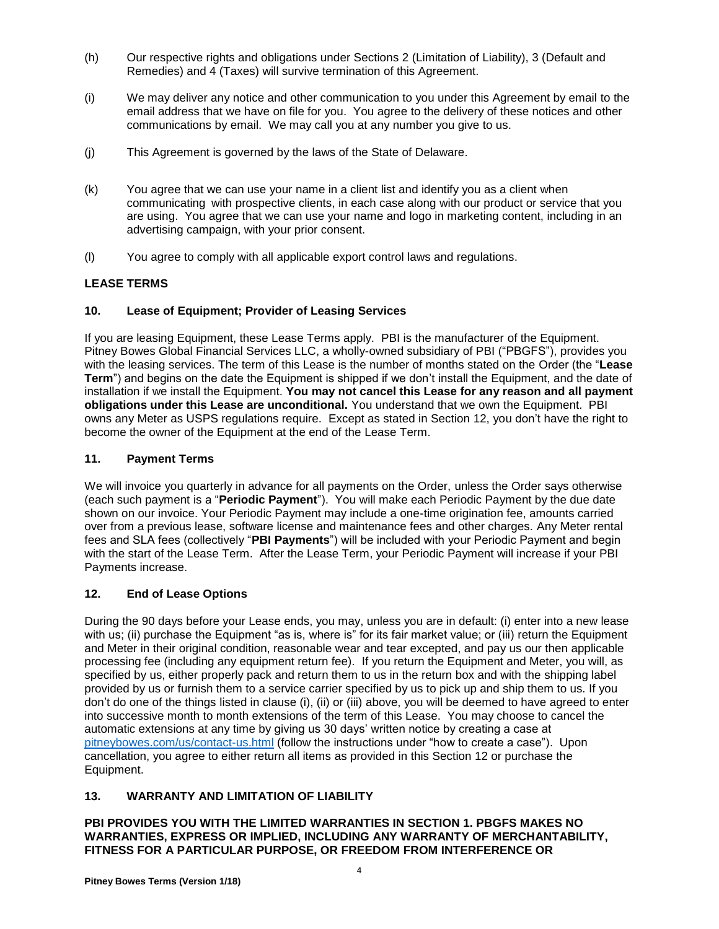- (h) Our respective rights and obligations under Sections 2 (Limitation of Liability), 3 (Default and Remedies) and 4 (Taxes) will survive termination of this Agreement.
- (i) We may deliver any notice and other communication to you under this Agreement by email to the email address that we have on file for you. You agree to the delivery of these notices and other communications by email. We may call you at any number you give to us.
- (j) This Agreement is governed by the laws of the State of Delaware.
- (k) You agree that we can use your name in a client list and identify you as a client when communicating with prospective clients, in each case along with our product or service that you are using. You agree that we can use your name and logo in marketing content, including in an advertising campaign, with your prior consent.
- (l) You agree to comply with all applicable export control laws and regulations.

# **LEASE TERMS**

### **10. Lease of Equipment; Provider of Leasing Services**

If you are leasing Equipment, these Lease Terms apply. PBI is the manufacturer of the Equipment. Pitney Bowes Global Financial Services LLC, a wholly-owned subsidiary of PBI ("PBGFS"), provides you with the leasing services. The term of this Lease is the number of months stated on the Order (the "**Lease Term**") and begins on the date the Equipment is shipped if we don't install the Equipment, and the date of installation if we install the Equipment. **You may not cancel this Lease for any reason and all payment obligations under this Lease are unconditional.** You understand that we own the Equipment. PBI owns any Meter as USPS regulations require. Except as stated in Section 12, you don't have the right to become the owner of the Equipment at the end of the Lease Term.

### **11. Payment Terms**

We will invoice you quarterly in advance for all payments on the Order, unless the Order says otherwise (each such payment is a "**Periodic Payment**"). You will make each Periodic Payment by the due date shown on our invoice. Your Periodic Payment may include a one-time origination fee, amounts carried over from a previous lease, software license and maintenance fees and other charges. Any Meter rental fees and SLA fees (collectively "**PBI Payments**") will be included with your Periodic Payment and begin with the start of the Lease Term. After the Lease Term, your Periodic Payment will increase if your PBI Payments increase.

#### **12. End of Lease Options**

During the 90 days before your Lease ends, you may, unless you are in default: (i) enter into a new lease with us; (ii) purchase the Equipment "as is, where is" for its fair market value; or (iii) return the Equipment and Meter in their original condition, reasonable wear and tear excepted, and pay us our then applicable processing fee (including any equipment return fee). If you return the Equipment and Meter, you will, as specified by us, either properly pack and return them to us in the return box and with the shipping label provided by us or furnish them to a service carrier specified by us to pick up and ship them to us. If you don't do one of the things listed in clause (i), (ii) or (iii) above, you will be deemed to have agreed to enter into successive month to month extensions of the term of this Lease. You may choose to cancel the automatic extensions at any time by giving us 30 days' written notice by creating a case at [pitneybowes.com/us/contact-us.html](http://www.pitneybowes.com/us/contact-us.html) (follow the instructions under "how to create a case"). Upon cancellation, you agree to either return all items as provided in this Section 12 or purchase the Equipment.

# **13. WARRANTY AND LIMITATION OF LIABILITY**

**PBI PROVIDES YOU WITH THE LIMITED WARRANTIES IN SECTION 1. PBGFS MAKES NO WARRANTIES, EXPRESS OR IMPLIED, INCLUDING ANY WARRANTY OF MERCHANTABILITY, FITNESS FOR A PARTICULAR PURPOSE, OR FREEDOM FROM INTERFERENCE OR**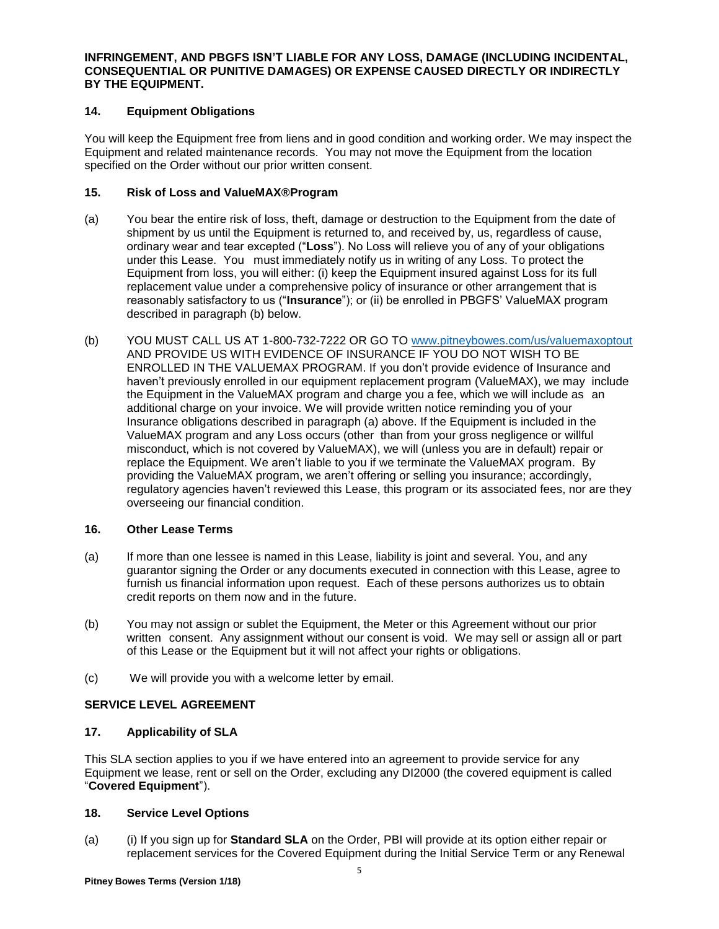**INFRINGEMENT, AND PBGFS ISN'T LIABLE FOR ANY LOSS, DAMAGE (INCLUDING INCIDENTAL, CONSEQUENTIAL OR PUNITIVE DAMAGES) OR EXPENSE CAUSED DIRECTLY OR INDIRECTLY BY THE EQUIPMENT.**

### **14. Equipment Obligations**

You will keep the Equipment free from liens and in good condition and working order. We may inspect the Equipment and related maintenance records. You may not move the Equipment from the location specified on the Order without our prior written consent.

### **15. Risk of Loss and ValueMAX®Program**

- (a) You bear the entire risk of loss, theft, damage or destruction to the Equipment from the date of shipment by us until the Equipment is returned to, and received by, us, regardless of cause, ordinary wear and tear excepted ("**Loss**"). No Loss will relieve you of any of your obligations under this Lease. You must immediately notify us in writing of any Loss. To protect the Equipment from loss, you will either: (i) keep the Equipment insured against Loss for its full replacement value under a comprehensive policy of insurance or other arrangement that is reasonably satisfactory to us ("**Insurance**"); or (ii) be enrolled in PBGFS' ValueMAX program described in paragraph (b) below.
- (b) YOU MUST CALL US AT 1-800-732-7222 OR GO TO [www.pitneybowes.com/us/valuemaxoptout](http://www.pitneybowes.com/us/valuemaxoptout) AND PROVIDE US WITH EVIDENCE OF INSURANCE IF YOU DO NOT WISH TO BE ENROLLED IN THE VALUEMAX PROGRAM. If you don't provide evidence of Insurance and haven't previously enrolled in our equipment replacement program (ValueMAX), we may include the Equipment in the ValueMAX program and charge you a fee, which we will include as an additional charge on your invoice. We will provide written notice reminding you of your Insurance obligations described in paragraph (a) above. If the Equipment is included in the ValueMAX program and any Loss occurs (other than from your gross negligence or willful misconduct, which is not covered by ValueMAX), we will (unless you are in default) repair or replace the Equipment. We aren't liable to you if we terminate the ValueMAX program. By providing the ValueMAX program, we aren't offering or selling you insurance; accordingly, regulatory agencies haven't reviewed this Lease, this program or its associated fees, nor are they overseeing our financial condition.

# **16. Other Lease Terms**

- (a) If more than one lessee is named in this Lease, liability is joint and several. You, and any guarantor signing the Order or any documents executed in connection with this Lease, agree to furnish us financial information upon request. Each of these persons authorizes us to obtain credit reports on them now and in the future.
- (b) You may not assign or sublet the Equipment, the Meter or this Agreement without our prior written consent. Any assignment without our consent is void. We may sell or assign all or part of this Lease or the Equipment but it will not affect your rights or obligations.
- (c) We will provide you with a welcome letter by email.

# **SERVICE LEVEL AGREEMENT**

# **17. Applicability of SLA**

This SLA section applies to you if we have entered into an agreement to provide service for any Equipment we lease, rent or sell on the Order, excluding any DI2000 (the covered equipment is called "**Covered Equipment**").

#### **18. Service Level Options**

(a) (i) If you sign up for **Standard SLA** on the Order, PBI will provide at its option either repair or replacement services for the Covered Equipment during the Initial Service Term or any Renewal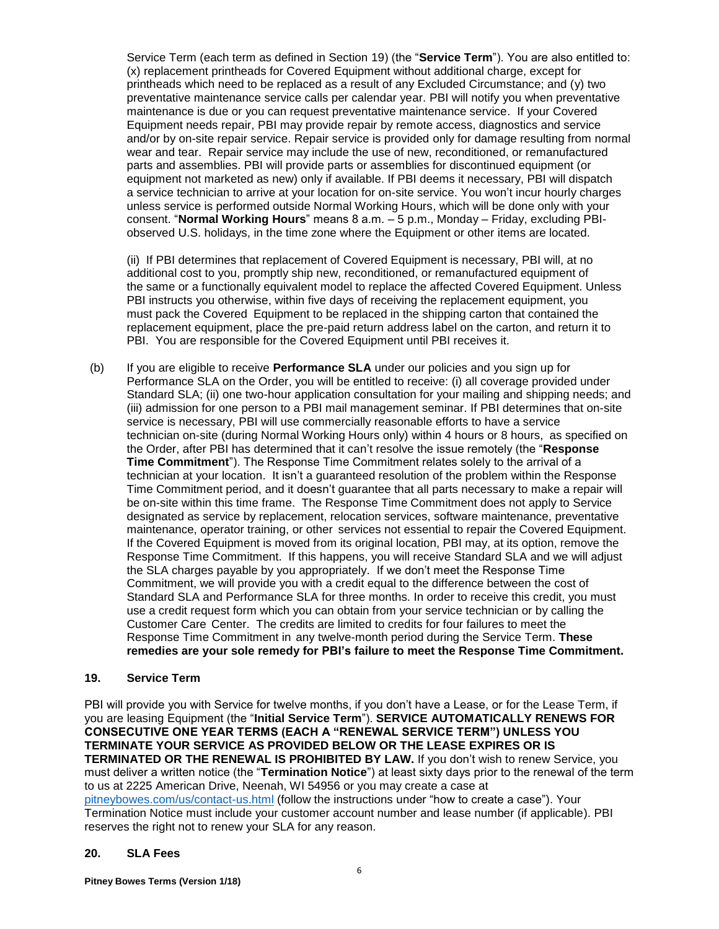Service Term (each term as defined in Section 19) (the "**Service Term**"). You are also entitled to: (x) replacement printheads for Covered Equipment without additional charge, except for printheads which need to be replaced as a result of any Excluded Circumstance; and (y) two preventative maintenance service calls per calendar year. PBI will notify you when preventative maintenance is due or you can request preventative maintenance service. If your Covered Equipment needs repair, PBI may provide repair by remote access, diagnostics and service and/or by on-site repair service. Repair service is provided only for damage resulting from normal wear and tear. Repair service may include the use of new, reconditioned, or remanufactured parts and assemblies. PBI will provide parts or assemblies for discontinued equipment (or equipment not marketed as new) only if available. If PBI deems it necessary, PBI will dispatch a service technician to arrive at your location for on-site service. You won't incur hourly charges unless service is performed outside Normal Working Hours, which will be done only with your consent. "**Normal Working Hours**" means 8 a.m. – 5 p.m., Monday – Friday, excluding PBIobserved U.S. holidays, in the time zone where the Equipment or other items are located.

(ii) If PBI determines that replacement of Covered Equipment is necessary, PBI will, at no additional cost to you, promptly ship new, reconditioned, or remanufactured equipment of the same or a functionally equivalent model to replace the affected Covered Equipment. Unless PBI instructs you otherwise, within five days of receiving the replacement equipment, you must pack the Covered Equipment to be replaced in the shipping carton that contained the replacement equipment, place the pre-paid return address label on the carton, and return it to PBI. You are responsible for the Covered Equipment until PBI receives it.

(b) If you are eligible to receive **Performance SLA** under our policies and you sign up for Performance SLA on the Order, you will be entitled to receive: (i) all coverage provided under Standard SLA; (ii) one two-hour application consultation for your mailing and shipping needs; and (iii) admission for one person to a PBI mail management seminar. If PBI determines that on-site service is necessary, PBI will use commercially reasonable efforts to have a service technician on-site (during Normal Working Hours only) within 4 hours or 8 hours, as specified on the Order, after PBI has determined that it can't resolve the issue remotely (the "**Response Time Commitment**"). The Response Time Commitment relates solely to the arrival of a technician at your location. It isn't a guaranteed resolution of the problem within the Response Time Commitment period, and it doesn't guarantee that all parts necessary to make a repair will be on-site within this time frame. The Response Time Commitment does not apply to Service designated as service by replacement, relocation services, software maintenance, preventative maintenance, operator training, or other services not essential to repair the Covered Equipment. If the Covered Equipment is moved from its original location, PBI may, at its option, remove the Response Time Commitment. If this happens, you will receive Standard SLA and we will adjust the SLA charges payable by you appropriately. If we don't meet the Response Time Commitment, we will provide you with a credit equal to the difference between the cost of Standard SLA and Performance SLA for three months. In order to receive this credit, you must use a credit request form which you can obtain from your service technician or by calling the Customer Care Center. The credits are limited to credits for four failures to meet the Response Time Commitment in any twelve-month period during the Service Term. **These remedies are your sole remedy for PBI's failure to meet the Response Time Commitment.**

#### **19. Service Term**

PBI will provide you with Service for twelve months, if you don't have a Lease, or for the Lease Term, if you are leasing Equipment (the "**Initial Service Term**"). **SERVICE AUTOMATICALLY RENEWS FOR CONSECUTIVE ONE YEAR TERMS (EACH A "RENEWAL SERVICE TERM") UNLESS YOU TERMINATE YOUR SERVICE AS PROVIDED BELOW OR THE LEASE EXPIRES OR IS TERMINATED OR THE RENEWAL IS PROHIBITED BY LAW.** If you don't wish to renew Service, you must deliver a written notice (the "**Termination Notice**") at least sixty days prior to the renewal of the term to us at 2225 American Drive, Neenah, WI 54956 or you may create a case at [pitneybowes.com/us/contact-us.html](http://www.pitneybowes.com/us/contact-us.html) (follow the instructions under "how to create a case"). Your Termination Notice must include your customer account number and lease number (if applicable). PBI reserves the right not to renew your SLA for any reason.

#### **20. SLA Fees**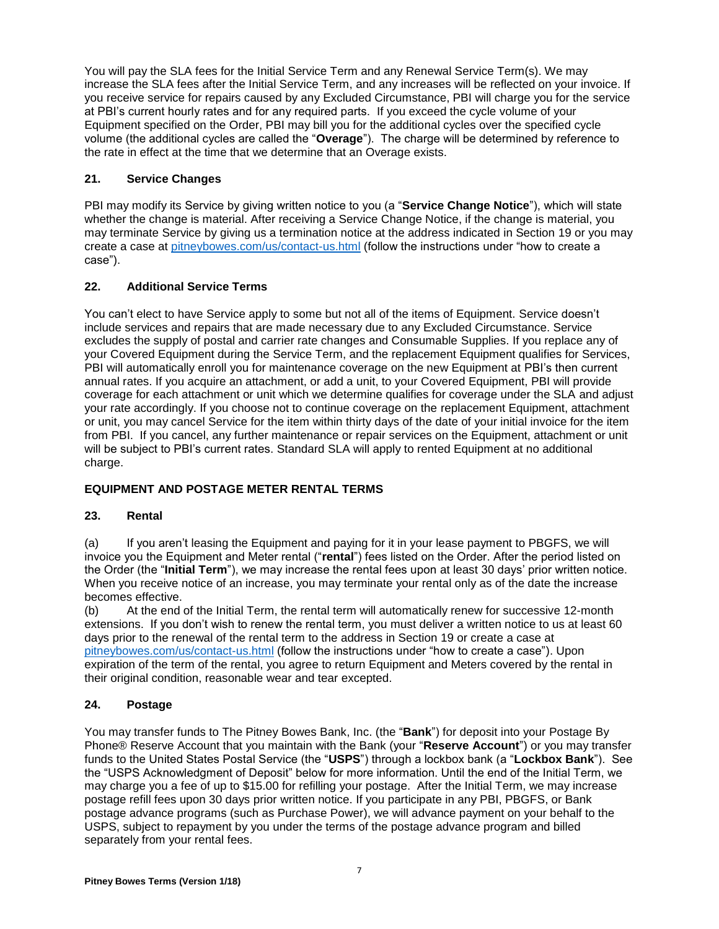You will pay the SLA fees for the Initial Service Term and any Renewal Service Term(s). We may increase the SLA fees after the Initial Service Term, and any increases will be reflected on your invoice. If you receive service for repairs caused by any Excluded Circumstance, PBI will charge you for the service at PBI's current hourly rates and for any required parts. If you exceed the cycle volume of your Equipment specified on the Order, PBI may bill you for the additional cycles over the specified cycle volume (the additional cycles are called the "**Overage**"). The charge will be determined by reference to the rate in effect at the time that we determine that an Overage exists.

# **21. Service Changes**

PBI may modify its Service by giving written notice to you (a "**Service Change Notice**"), which will state whether the change is material. After receiving a Service Change Notice, if the change is material, you may terminate Service by giving us a termination notice at the address indicated in Section 19 or you may create a case at [pitneybowes.com/us/contact-us.html](http://www.pitneybowes.com/us/contact-us.html) (follow the instructions under "how to create a case").

# **22. Additional Service Terms**

You can't elect to have Service apply to some but not all of the items of Equipment. Service doesn't include services and repairs that are made necessary due to any Excluded Circumstance. Service excludes the supply of postal and carrier rate changes and Consumable Supplies. If you replace any of your Covered Equipment during the Service Term, and the replacement Equipment qualifies for Services, PBI will automatically enroll you for maintenance coverage on the new Equipment at PBI's then current annual rates. If you acquire an attachment, or add a unit, to your Covered Equipment, PBI will provide coverage for each attachment or unit which we determine qualifies for coverage under the SLA and adjust your rate accordingly. If you choose not to continue coverage on the replacement Equipment, attachment or unit, you may cancel Service for the item within thirty days of the date of your initial invoice for the item from PBI. If you cancel, any further maintenance or repair services on the Equipment, attachment or unit will be subject to PBI's current rates. Standard SLA will apply to rented Equipment at no additional charge.

# **EQUIPMENT AND POSTAGE METER RENTAL TERMS**

# **23. Rental**

(a) If you aren't leasing the Equipment and paying for it in your lease payment to PBGFS, we will invoice you the Equipment and Meter rental ("**rental**") fees listed on the Order. After the period listed on the Order (the "**Initial Term**"), we may increase the rental fees upon at least 30 days' prior written notice. When you receive notice of an increase, you may terminate your rental only as of the date the increase becomes effective.

(b) At the end of the Initial Term, the rental term will automatically renew for successive 12-month extensions. If you don't wish to renew the rental term, you must deliver a written notice to us at least 60 days prior to the renewal of the rental term to the address in Section 19 or create a case at [pitneybowes.com/us/contact-us.html](http://www.pitneybowes.com/us/contact-us.html) (follow the instructions under "how to create a case"). Upon expiration of the term of the rental, you agree to return Equipment and Meters covered by the rental in their original condition, reasonable wear and tear excepted.

# **24. Postage**

You may transfer funds to The Pitney Bowes Bank, Inc. (the "**Bank**") for deposit into your Postage By Phone® Reserve Account that you maintain with the Bank (your "**Reserve Account**") or you may transfer funds to the United States Postal Service (the "**USPS**") through a lockbox bank (a "**Lockbox Bank**"). See the "USPS Acknowledgment of Deposit" below for more information. Until the end of the Initial Term, we may charge you a fee of up to \$15.00 for refilling your postage. After the Initial Term, we may increase postage refill fees upon 30 days prior written notice. If you participate in any PBI, PBGFS, or Bank postage advance programs (such as Purchase Power), we will advance payment on your behalf to the USPS, subject to repayment by you under the terms of the postage advance program and billed separately from your rental fees.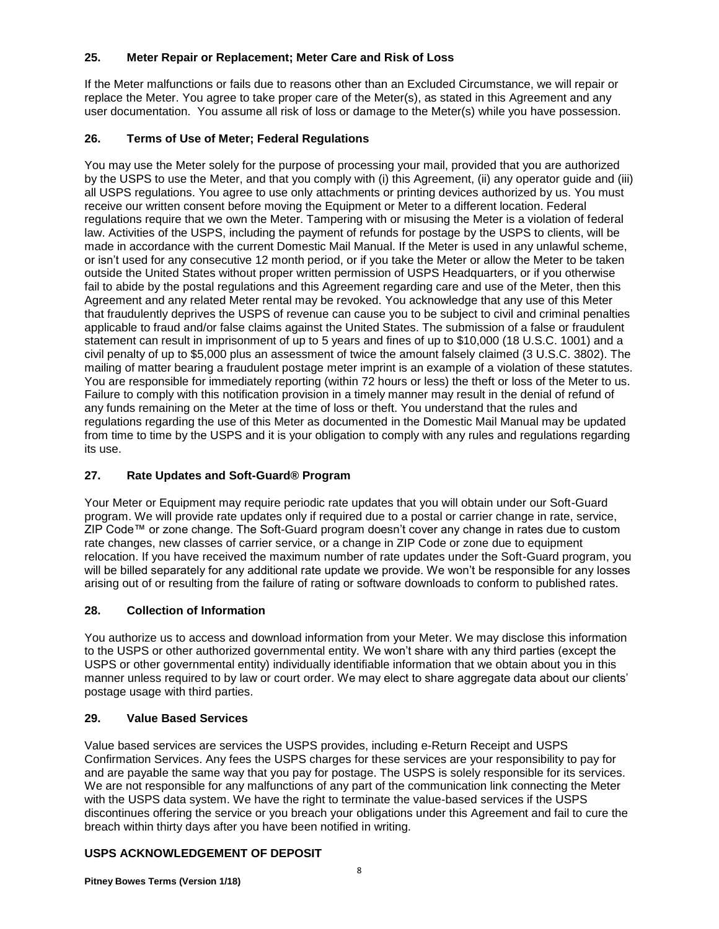# **25. Meter Repair or Replacement; Meter Care and Risk of Loss**

If the Meter malfunctions or fails due to reasons other than an Excluded Circumstance, we will repair or replace the Meter. You agree to take proper care of the Meter(s), as stated in this Agreement and any user documentation. You assume all risk of loss or damage to the Meter(s) while you have possession.

# **26. Terms of Use of Meter; Federal Regulations**

You may use the Meter solely for the purpose of processing your mail, provided that you are authorized by the USPS to use the Meter, and that you comply with (i) this Agreement, (ii) any operator guide and (iii) all USPS regulations. You agree to use only attachments or printing devices authorized by us. You must receive our written consent before moving the Equipment or Meter to a different location. Federal regulations require that we own the Meter. Tampering with or misusing the Meter is a violation of federal law. Activities of the USPS, including the payment of refunds for postage by the USPS to clients, will be made in accordance with the current Domestic Mail Manual. If the Meter is used in any unlawful scheme, or isn't used for any consecutive 12 month period, or if you take the Meter or allow the Meter to be taken outside the United States without proper written permission of USPS Headquarters, or if you otherwise fail to abide by the postal regulations and this Agreement regarding care and use of the Meter, then this Agreement and any related Meter rental may be revoked. You acknowledge that any use of this Meter that fraudulently deprives the USPS of revenue can cause you to be subject to civil and criminal penalties applicable to fraud and/or false claims against the United States. The submission of a false or fraudulent statement can result in imprisonment of up to 5 years and fines of up to \$10,000 (18 U.S.C. 1001) and a civil penalty of up to \$5,000 plus an assessment of twice the amount falsely claimed (3 U.S.C. 3802). The mailing of matter bearing a fraudulent postage meter imprint is an example of a violation of these statutes. You are responsible for immediately reporting (within 72 hours or less) the theft or loss of the Meter to us. Failure to comply with this notification provision in a timely manner may result in the denial of refund of any funds remaining on the Meter at the time of loss or theft. You understand that the rules and regulations regarding the use of this Meter as documented in the Domestic Mail Manual may be updated from time to time by the USPS and it is your obligation to comply with any rules and regulations regarding its use.

# **27. Rate Updates and Soft-Guard® Program**

Your Meter or Equipment may require periodic rate updates that you will obtain under our Soft-Guard program. We will provide rate updates only if required due to a postal or carrier change in rate, service, ZIP Code™ or zone change. The Soft-Guard program doesn't cover any change in rates due to custom rate changes, new classes of carrier service, or a change in ZIP Code or zone due to equipment relocation. If you have received the maximum number of rate updates under the Soft-Guard program, you will be billed separately for any additional rate update we provide. We won't be responsible for any losses arising out of or resulting from the failure of rating or software downloads to conform to published rates.

# **28. Collection of Information**

You authorize us to access and download information from your Meter. We may disclose this information to the USPS or other authorized governmental entity. We won't share with any third parties (except the USPS or other governmental entity) individually identifiable information that we obtain about you in this manner unless required to by law or court order. We may elect to share aggregate data about our clients' postage usage with third parties.

# **29. Value Based Services**

Value based services are services the USPS provides, including e-Return Receipt and USPS Confirmation Services. Any fees the USPS charges for these services are your responsibility to pay for and are payable the same way that you pay for postage. The USPS is solely responsible for its services. We are not responsible for any malfunctions of any part of the communication link connecting the Meter with the USPS data system. We have the right to terminate the value-based services if the USPS discontinues offering the service or you breach your obligations under this Agreement and fail to cure the breach within thirty days after you have been notified in writing.

# **USPS ACKNOWLEDGEMENT OF DEPOSIT**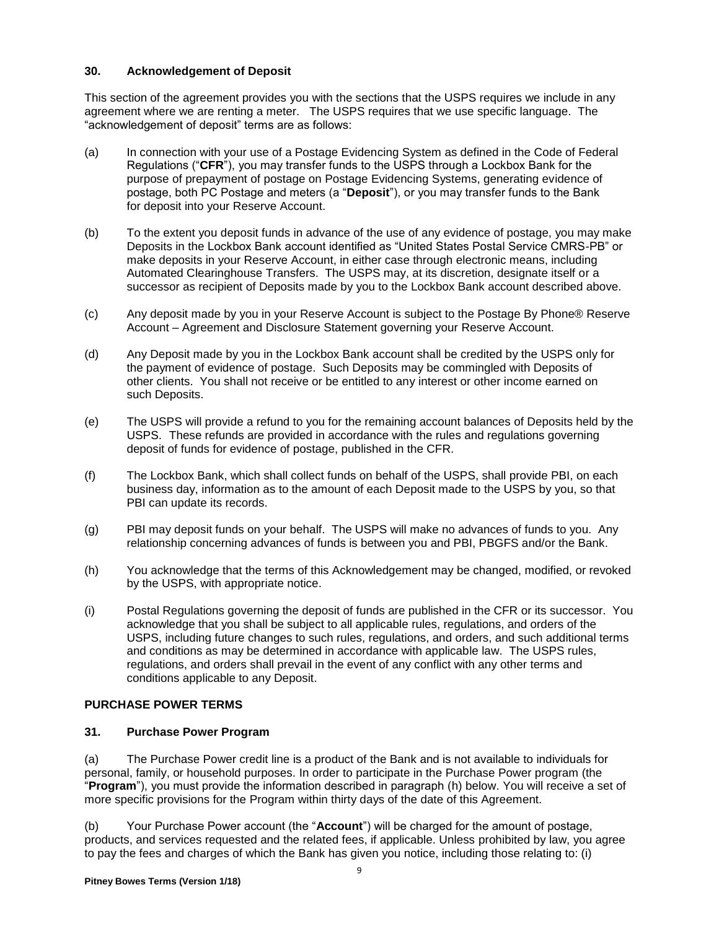# **30. Acknowledgement of Deposit**

This section of the agreement provides you with the sections that the USPS requires we include in any agreement where we are renting a meter. The USPS requires that we use specific language. The "acknowledgement of deposit" terms are as follows:

- (a) In connection with your use of a Postage Evidencing System as defined in the Code of Federal Regulations ("**CFR**"), you may transfer funds to the USPS through a Lockbox Bank for the purpose of prepayment of postage on Postage Evidencing Systems, generating evidence of postage, both PC Postage and meters (a "**Deposit**"), or you may transfer funds to the Bank for deposit into your Reserve Account.
- (b) To the extent you deposit funds in advance of the use of any evidence of postage, you may make Deposits in the Lockbox Bank account identified as "United States Postal Service CMRS-PB" or make deposits in your Reserve Account, in either case through electronic means, including Automated Clearinghouse Transfers. The USPS may, at its discretion, designate itself or a successor as recipient of Deposits made by you to the Lockbox Bank account described above.
- (c) Any deposit made by you in your Reserve Account is subject to the Postage By Phone® Reserve Account – Agreement and Disclosure Statement governing your Reserve Account.
- (d) Any Deposit made by you in the Lockbox Bank account shall be credited by the USPS only for the payment of evidence of postage. Such Deposits may be commingled with Deposits of other clients. You shall not receive or be entitled to any interest or other income earned on such Deposits.
- (e) The USPS will provide a refund to you for the remaining account balances of Deposits held by the USPS. These refunds are provided in accordance with the rules and regulations governing deposit of funds for evidence of postage, published in the CFR.
- (f) The Lockbox Bank, which shall collect funds on behalf of the USPS, shall provide PBI, on each business day, information as to the amount of each Deposit made to the USPS by you, so that PBI can update its records.
- (g) PBI may deposit funds on your behalf. The USPS will make no advances of funds to you. Any relationship concerning advances of funds is between you and PBI, PBGFS and/or the Bank.
- (h) You acknowledge that the terms of this Acknowledgement may be changed, modified, or revoked by the USPS, with appropriate notice.
- (i) Postal Regulations governing the deposit of funds are published in the CFR or its successor. You acknowledge that you shall be subject to all applicable rules, regulations, and orders of the USPS, including future changes to such rules, regulations, and orders, and such additional terms and conditions as may be determined in accordance with applicable law. The USPS rules, regulations, and orders shall prevail in the event of any conflict with any other terms and conditions applicable to any Deposit.

# **PURCHASE POWER TERMS**

# **31. Purchase Power Program**

(a) The Purchase Power credit line is a product of the Bank and is not available to individuals for personal, family, or household purposes. In order to participate in the Purchase Power program (the "**Program**"), you must provide the information described in paragraph (h) below. You will receive a set of more specific provisions for the Program within thirty days of the date of this Agreement.

(b) Your Purchase Power account (the "**Account**") will be charged for the amount of postage, products, and services requested and the related fees, if applicable. Unless prohibited by law, you agree to pay the fees and charges of which the Bank has given you notice, including those relating to: (i)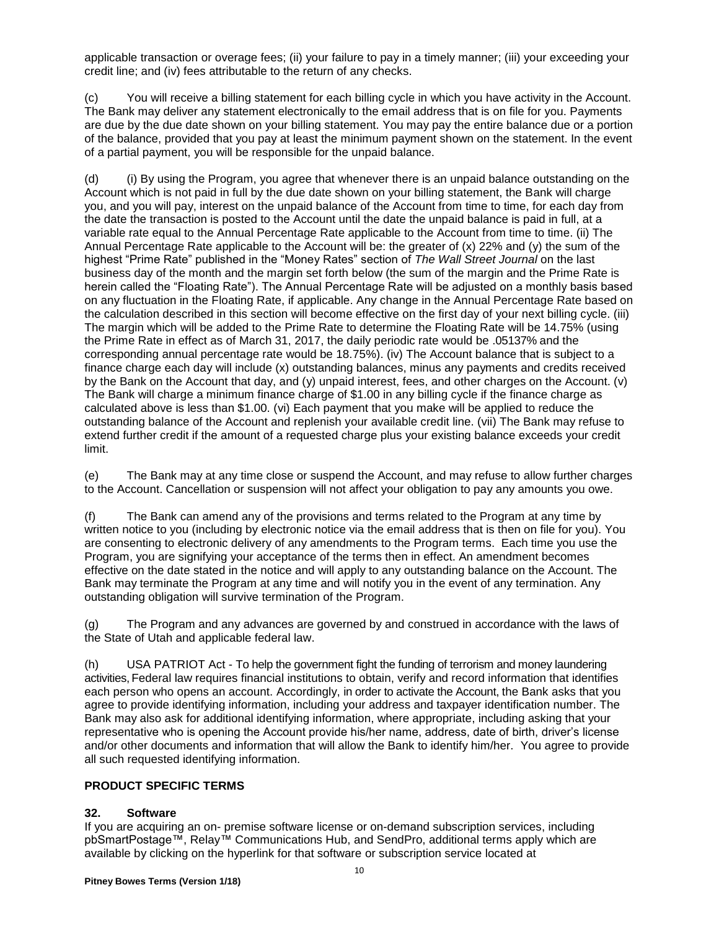applicable transaction or overage fees; (ii) your failure to pay in a timely manner; (iii) your exceeding your credit line; and (iv) fees attributable to the return of any checks.

You will receive a billing statement for each billing cycle in which you have activity in the Account. The Bank may deliver any statement electronically to the email address that is on file for you. Payments are due by the due date shown on your billing statement. You may pay the entire balance due or a portion of the balance, provided that you pay at least the minimum payment shown on the statement. In the event of a partial payment, you will be responsible for the unpaid balance.

(d) (i) By using the Program, you agree that whenever there is an unpaid balance outstanding on the Account which is not paid in full by the due date shown on your billing statement, the Bank will charge you, and you will pay, interest on the unpaid balance of the Account from time to time, for each day from the date the transaction is posted to the Account until the date the unpaid balance is paid in full, at a variable rate equal to the Annual Percentage Rate applicable to the Account from time to time. (ii) The Annual Percentage Rate applicable to the Account will be: the greater of (x) 22% and (y) the sum of the highest "Prime Rate" published in the "Money Rates" section of *The Wall Street Journal* on the last business day of the month and the margin set forth below (the sum of the margin and the Prime Rate is herein called the "Floating Rate"). The Annual Percentage Rate will be adjusted on a monthly basis based on any fluctuation in the Floating Rate, if applicable. Any change in the Annual Percentage Rate based on the calculation described in this section will become effective on the first day of your next billing cycle. (iii) The margin which will be added to the Prime Rate to determine the Floating Rate will be 14.75% (using the Prime Rate in effect as of March 31, 2017, the daily periodic rate would be .05137% and the corresponding annual percentage rate would be 18.75%). (iv) The Account balance that is subject to a finance charge each day will include (x) outstanding balances, minus any payments and credits received by the Bank on the Account that day, and (y) unpaid interest, fees, and other charges on the Account. (v) The Bank will charge a minimum finance charge of \$1.00 in any billing cycle if the finance charge as calculated above is less than \$1.00. (vi) Each payment that you make will be applied to reduce the outstanding balance of the Account and replenish your available credit line. (vii) The Bank may refuse to extend further credit if the amount of a requested charge plus your existing balance exceeds your credit limit.

(e) The Bank may at any time close or suspend the Account, and may refuse to allow further charges to the Account. Cancellation or suspension will not affect your obligation to pay any amounts you owe.

(f) The Bank can amend any of the provisions and terms related to the Program at any time by written notice to you (including by electronic notice via the email address that is then on file for you). You are consenting to electronic delivery of any amendments to the Program terms. Each time you use the Program, you are signifying your acceptance of the terms then in effect. An amendment becomes effective on the date stated in the notice and will apply to any outstanding balance on the Account. The Bank may terminate the Program at any time and will notify you in the event of any termination. Any outstanding obligation will survive termination of the Program.

(g) The Program and any advances are governed by and construed in accordance with the laws of the State of Utah and applicable federal law.

(h) USA PATRIOT Act - To help the government fight the funding of terrorism and money laundering activities, Federal law requires financial institutions to obtain, verify and record information that identifies each person who opens an account. Accordingly, in order to activate the Account, the Bank asks that you agree to provide identifying information, including your address and taxpayer identification number. The Bank may also ask for additional identifying information, where appropriate, including asking that your representative who is opening the Account provide his/her name, address, date of birth, driver's license and/or other documents and information that will allow the Bank to identify him/her. You agree to provide all such requested identifying information.

# **PRODUCT SPECIFIC TERMS**

# **32. Software**

If you are acquiring an on- premise software license or on-demand subscription services, including pbSmartPostage™, Relay™ Communications Hub, and SendPro, additional terms apply which are available by clicking on the hyperlink for that software or subscription service located at